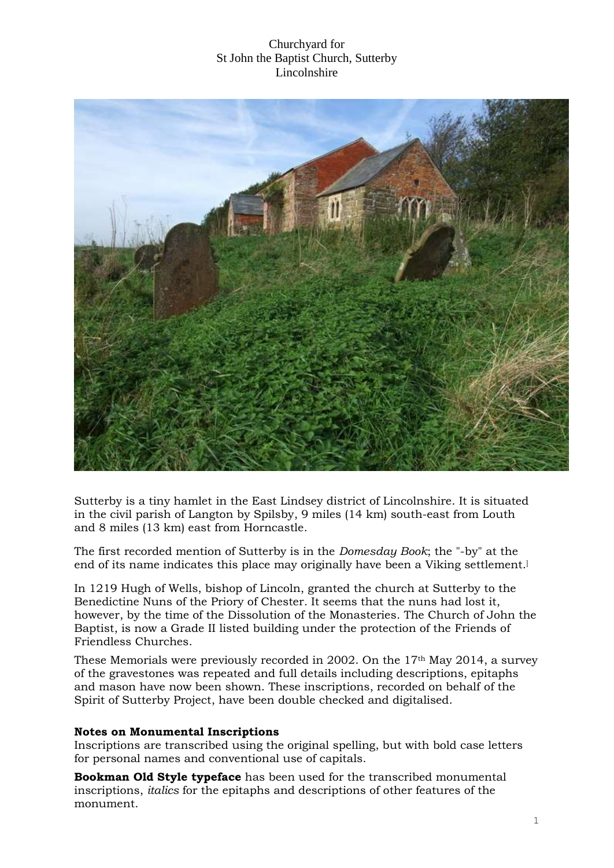

Sutterby is a tiny hamlet in the [East Lindsey](http://en.wikipedia.org/wiki/East_Lindsey) district of [Lincolnshire.](http://en.wikipedia.org/wiki/Lincolnshire) It is situated in the [civil parish](http://en.wikipedia.org/wiki/Civil_parish) of [Langton by Spilsby,](http://en.wikipedia.org/wiki/Langton_by_Spilsby) 9 miles (14 km) south-east from [Louth](http://en.wikipedia.org/wiki/Louth,_Lincolnshire) and 8 miles (13 km) east from [Horncastle.](http://en.wikipedia.org/wiki/Horncastle,_Lincolnshire)

The first recorded mention of Sutterby is in the *[Domesday Book](http://en.wikipedia.org/wiki/Domesday_Book)*; the "-by" at the end of its name indicates this place may originally have been a [Viking](http://en.wikipedia.org/wiki/Viking_Age) settlement. ]

In 1219 [Hugh of Wells,](http://en.wikipedia.org/wiki/Hugh_of_Wells) [bishop of Lincoln,](http://en.wikipedia.org/wiki/Bishop_of_Lincoln) granted the church at Sutterby to the [Benedictine Nuns](http://en.wikipedia.org/wiki/Benedictine_Nuns) of the [Priory of Chester.](http://en.wikipedia.org/wiki/Abbeys_and_priories_in_England#Cheshire) It seems that the nuns had lost it, however, by the time of the [Dissolution of the Monasteries.](http://en.wikipedia.org/wiki/Dissolution_of_the_Monasteries) The [Church of John the](http://en.wikipedia.org/wiki/St_John_the_Baptist%27s_Church,_Sutterby)  [Baptist,](http://en.wikipedia.org/wiki/St_John_the_Baptist%27s_Church,_Sutterby) is now a Grade II [listed building](http://en.wikipedia.org/wiki/Listed_building) under the protection of the [Friends of](http://en.wikipedia.org/wiki/Friends_of_Friendless_Churches)  [Friendless Churches.](http://en.wikipedia.org/wiki/Friends_of_Friendless_Churches)

These Memorials were previously recorded in 2002. On the 17th May 2014, a survey of the gravestones was repeated and full details including descriptions, epitaphs and mason have now been shown. These inscriptions, recorded on behalf of the Spirit of Sutterby Project, have been double checked and digitalised.

#### **Notes on Monumental Inscriptions**

Inscriptions are transcribed using the original spelling, but with bold case letters for personal names and conventional use of capitals.

**Bookman Old Style typeface** has been used for the transcribed monumental inscriptions, *italics* for the epitaphs and descriptions of other features of the monument.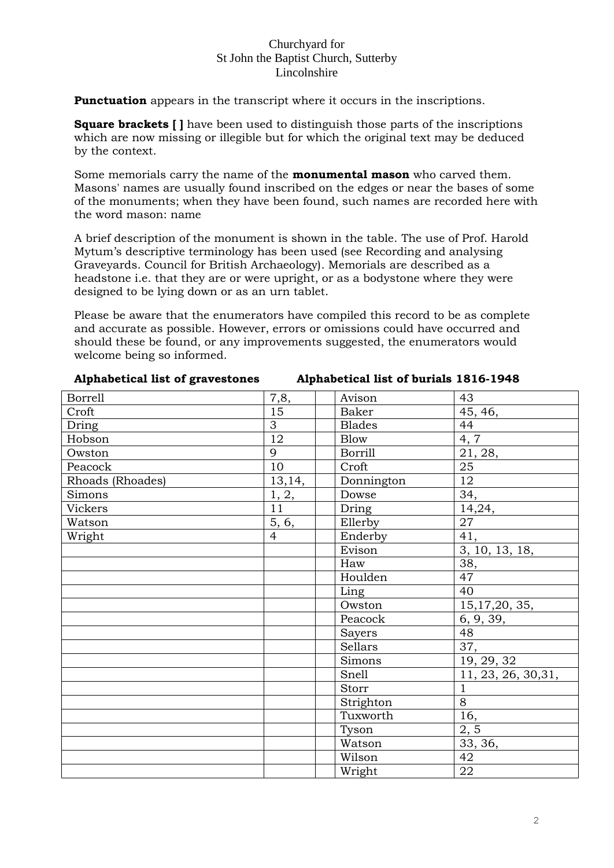**Punctuation** appears in the transcript where it occurs in the inscriptions.

**Square brackets [ ]** have been used to distinguish those parts of the inscriptions which are now missing or illegible but for which the original text may be deduced by the context.

Some memorials carry the name of the **monumental mason** who carved them. Masons' names are usually found inscribed on the edges or near the bases of some of the monuments; when they have been found, such names are recorded here with the word mason: name

A brief description of the monument is shown in the table. The use of Prof. Harold Mytum's descriptive terminology has been used (see Recording and analysing Graveyards. Council for British Archaeology). Memorials are described as a headstone i.e. that they are or were upright, or as a bodystone where they were designed to be lying down or as an urn tablet.

Please be aware that the enumerators have compiled this record to be as complete and accurate as possible. However, errors or omissions could have occurred and should these be found, or any improvements suggested, the enumerators would welcome being so informed.

| <b>Borrell</b>   | 7,8,            | Avison         | 43                        |
|------------------|-----------------|----------------|---------------------------|
| Croft            | $\overline{15}$ | <b>Baker</b>   | 45, 46,                   |
| Dring            | 3               | <b>Blades</b>  | 44                        |
| Hobson           | 12              | <b>Blow</b>    | 4, 7                      |
| Owston           | 9               | <b>Borrill</b> | 21, 28,                   |
| Peacock          | 10              | Croft          | $\overline{25}$           |
| Rhoads (Rhoades) | 13,14,          | Donnington     | $\overline{12}$           |
| Simons           | 1, 2,           | Dowse          | 34,                       |
| Vickers          | 11              | Dring          | 14,24,                    |
| Watson           | 5, 6,           | Ellerby        | 27                        |
| Wright           | $\overline{4}$  | Enderby        | $\overline{41,}$          |
|                  |                 | Evison         | 3, 10, 13, 18,            |
|                  |                 | Haw            | 38,                       |
|                  |                 | Houlden        | 47                        |
|                  |                 | Ling           | 40                        |
|                  |                 | Owston         | 15, 17, 20, 35,           |
|                  |                 | Peacock        | $\frac{6, 9, 39, 48}{48}$ |
|                  |                 | Sayers         |                           |
|                  |                 | Sellars        | 37,                       |
|                  |                 | Simons         | 19, 29, 32                |
|                  |                 | Snell          | 11, 23, 26, 30, 31,       |
|                  |                 | Storr          | $\mathbf{1}$              |
|                  |                 | Strighton      | $\overline{8}$            |
|                  |                 | Tuxworth       | 16,                       |
|                  |                 | Tyson          | 2, 5                      |
|                  |                 | Watson         | 33, 36,                   |
|                  |                 | Wilson         | 42                        |
|                  |                 | Wright         | 22                        |
|                  |                 |                |                           |

**Alphabetical list of gravestones Alphabetical list of burials 1816-1948**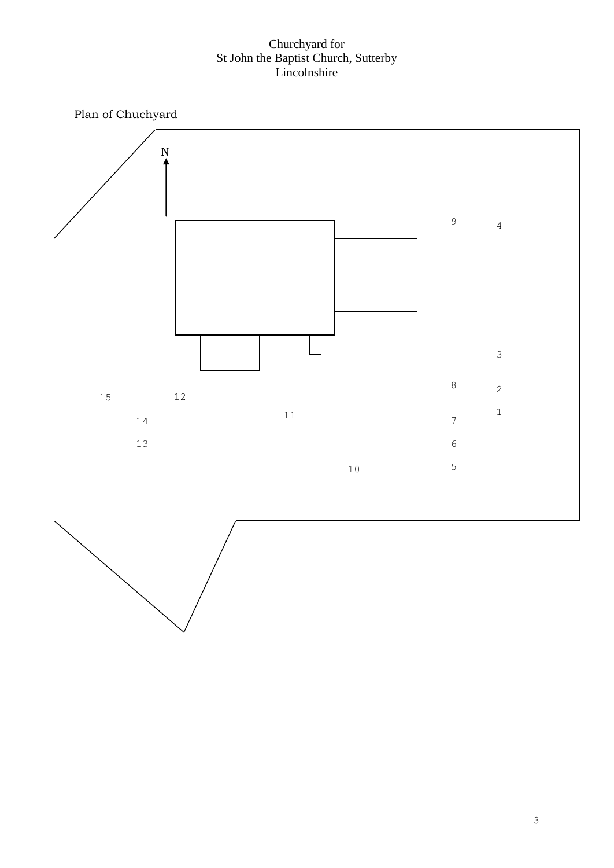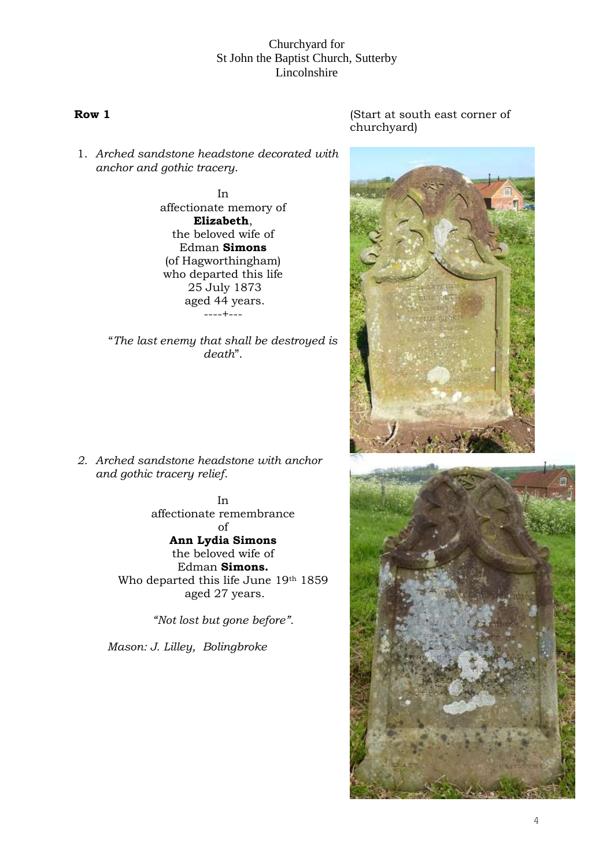1. *Arched sandstone headstone decorated with anchor and gothic tracery*.

> In affectionate memory of **Elizabeth**, the beloved wife of Edman **Simons** (of Hagworthingham) who departed this life 25 July 1873 aged 44 years. ----+---

"*The last enemy that shall be destroyed is death*".

*2. Arched sandstone headstone with anchor and gothic tracery relief*.

> In affectionate remembrance of **Ann Lydia Simons** the beloved wife of Edman **Simons.** Who departed this life June 19th 1859 aged 27 years.

> > *"Not lost but gone before".*

*Mason: J. Lilley, Bolingbroke*

#### **Row 1** (Start at south east corner of churchyard)



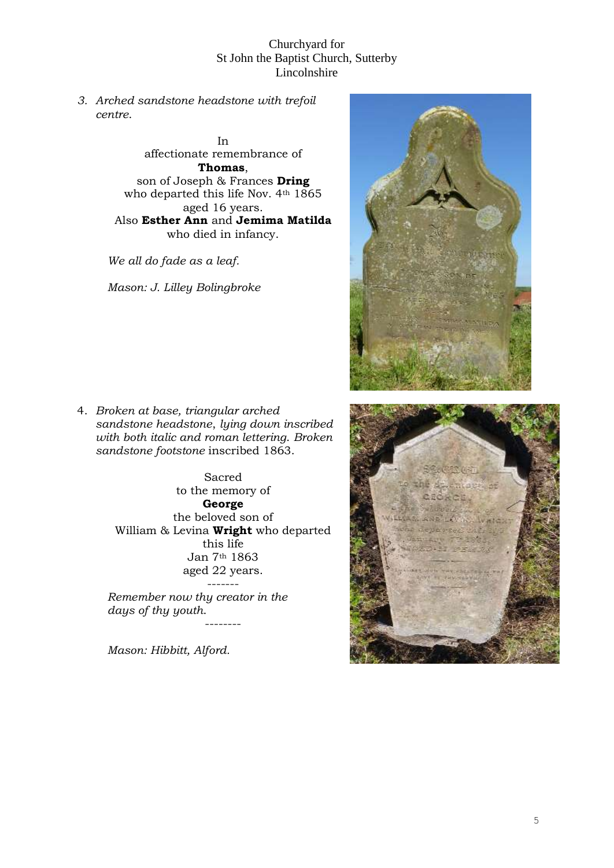*3. Arched sandstone headstone with trefoil centre*.

> In affectionate remembrance of **Thomas**, son of Joseph & Frances **Dring** who departed this life Nov. 4th 1865 aged 16 years. Also **Esther Ann** and **Jemima Matilda** who died in infancy.

*We all do fade as a leaf.* 

*Mason: J. Lilley Bolingbroke*

4. *Broken at base, triangular arched sandstone headstone*, *lying down inscribed with both italic and roman lettering*. *Broken sandstone footstone* inscribed 1863.

> Sacred to the memory of **George** the beloved son of William & Levina **Wright** who departed this life Jan 7th 1863 aged 22 years.

> > --------

*Remember now thy creator in the days of thy youth*.

*Mason: Hibbitt, Alford.* 



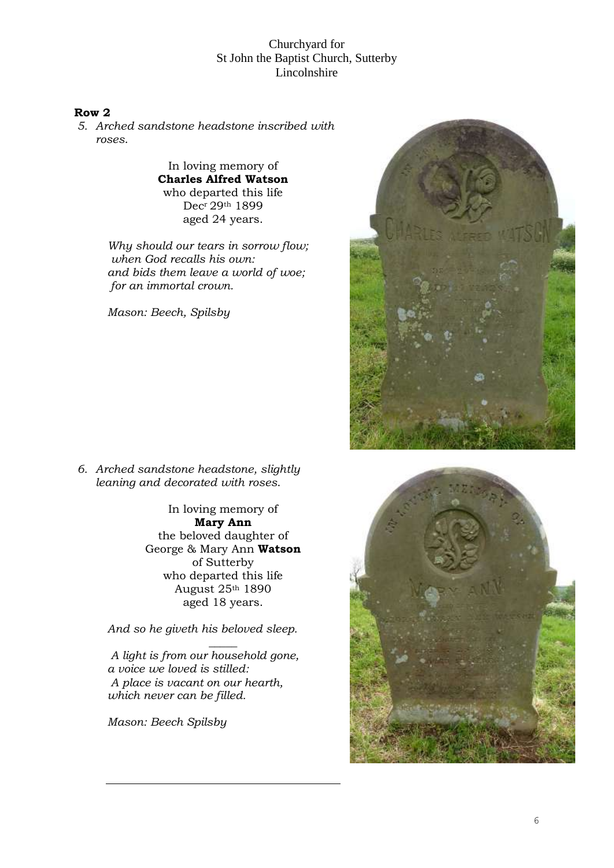## **Row 2**

*5. Arched sandstone headstone inscribed with roses*.

> In loving memory of **Charles Alfred Watson** who departed this life Decr 29th 1899 aged 24 years.

*Why should our tears in sorrow flow; when God recalls his own: and bids them leave a world of woe; for an immortal crown.*

*Mason: Beech, Spilsby*



*6. Arched sandstone headstone, slightly leaning and decorated with roses*.

> In loving memory of **Mary Ann** the beloved daughter of George & Mary Ann **Watson** of Sutterby who departed this life August 25th 1890 aged 18 years.

*And so he giveth his beloved sleep.*

*\_\_\_\_\_ A light is from our household gone, a voice we loved is stilled: A place is vacant on our hearth, which never can be filled.* 

*Mason: Beech Spilsby*

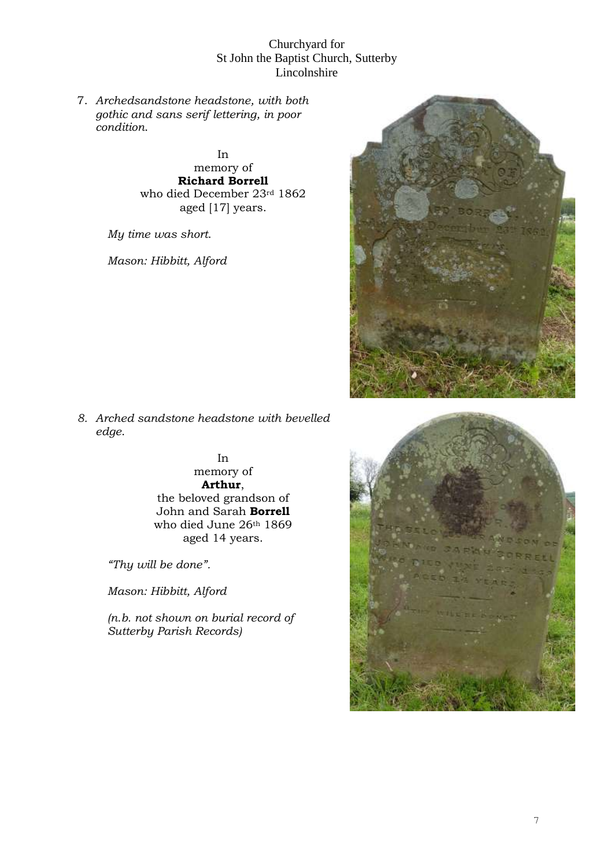7. *Archedsandstone headstone, with both gothic and sans serif lettering, in poor condition*.

> In memory of **Richard Borrell** who died December 23rd 1862 aged [17] years.

*My time was short*.

*Mason: Hibbitt, Alford*



*8. Arched sandstone headstone with bevelled edge*.

> In memory of **Arthur**, the beloved grandson of John and Sarah **Borrell** who died June 26th 1869 aged 14 years.

*"Thy will be done".* 

*Mason: Hibbitt, Alford* 

*(n.b. not shown on burial record of Sutterby Parish Records)*

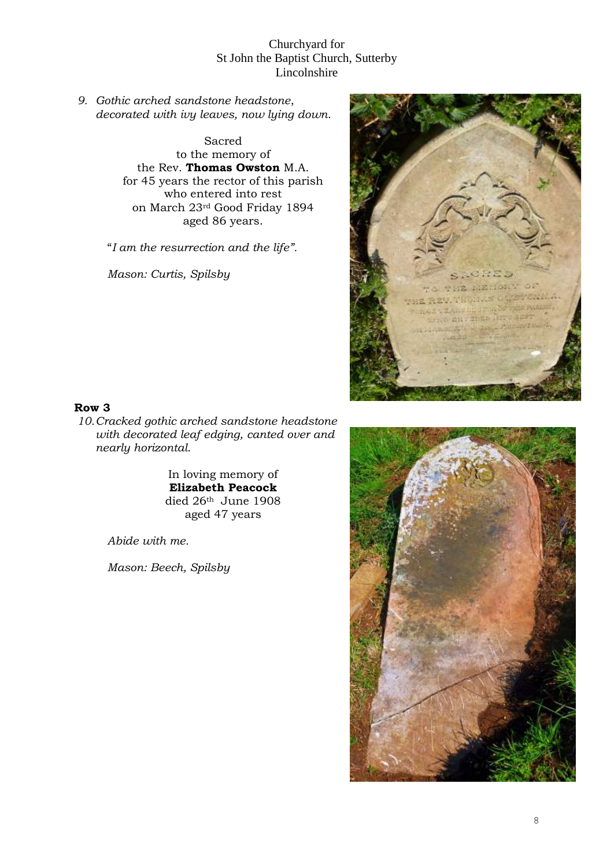*9. Gothic arched sandstone headstone*, *decorated with ivy leaves, now lying down*.

> Sacred to the memory of the Rev. **Thomas Owston** M.A. for 45 years the rector of this parish who entered into rest on March 23rd Good Friday 1894 aged 86 years.

"*I am the resurrection and the life".* 

*Mason: Curtis, Spilsby*



#### **Row 3**

*10.Cracked gothic arched sandstone headstone with decorated leaf edging, canted over and nearly horizontal*.

> In loving memory of **Elizabeth Peacock** died 26th June 1908 aged 47 years

*Abide with me.* 

*Mason: Beech, Spilsby*

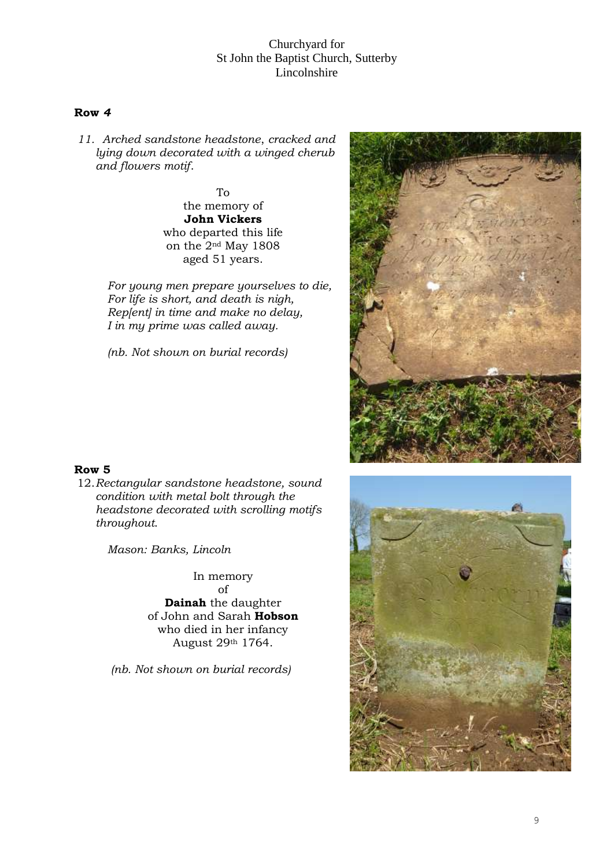#### **Row** *4*

*11. Arched sandstone headstone*, *cracked and lying down decorated with a winged cherub and flowers motif*.

> To the memory of **John Vickers** who departed this life on the 2nd May 1808 aged 51 years.

*For young men prepare yourselves to die, For life is short, and death is nigh, Rep[ent] in time and make no delay, I in my prime was called away.*

*(nb. Not shown on burial records)*





12.*Rectangular sandstone headstone, sound condition with metal bolt through the headstone decorated with scrolling motifs throughout*.

*Mason: Banks, Lincoln*

In memory

of **Dainah** the daughter of John and Sarah **Hobson** who died in her infancy August 29th 1764.

*(nb. Not shown on burial records)* 

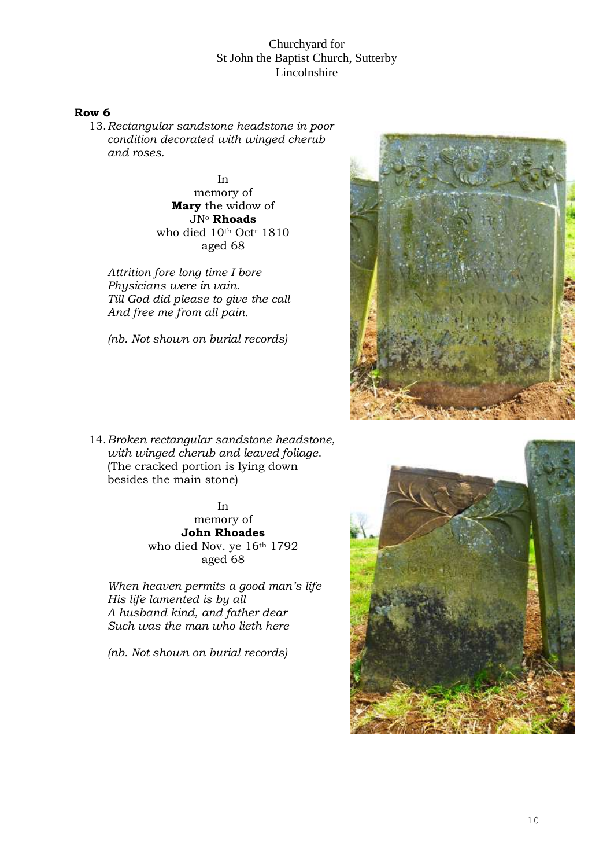#### **Row 6**

13.*Rectangular sandstone headstone in poor condition decorated with winged cherub and roses.*

> In memory of **Mary** the widow of JN<sup>o</sup> **Rhoads** who died 10th Oct<sup>r</sup> 1810 aged 68

*Attrition fore long time I bore Physicians were in vain. Till God did please to give the call And free me from all pain.*

*(nb. Not shown on burial records)*

14.*Broken rectangular sandstone headstone, with winged cherub and leaved foliage*. (The cracked portion is lying down besides the main stone)

> In memory of **John Rhoades** who died Nov. ye 16th 1792 aged 68

*When heaven permits a good man's life His life lamented is by all A husband kind, and father dear Such was the man who lieth here*

*(nb. Not shown on burial records)*



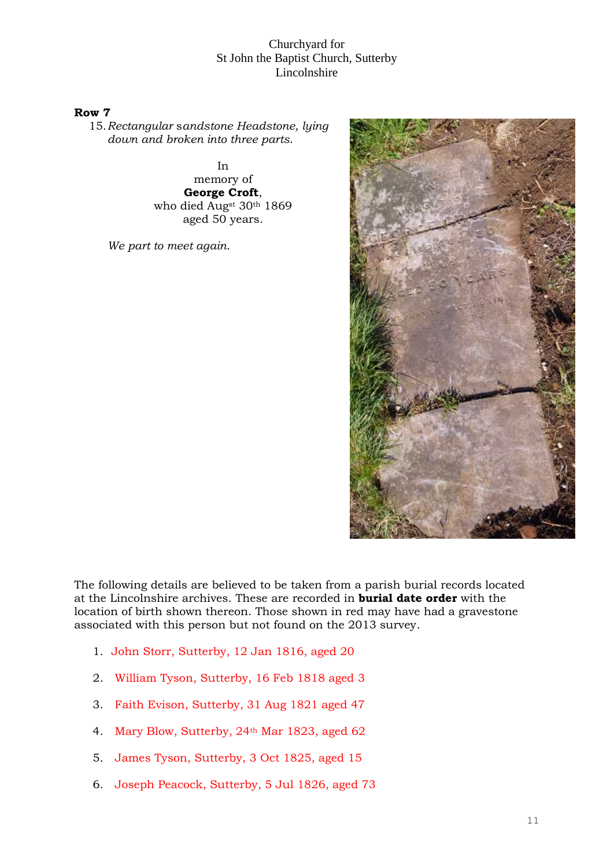#### **Row 7**

15.*Rectangular* s*andstone Headstone, lying down and broken into three parts*.

> In memory of **George Croft**, who died Augst 30th 1869 aged 50 years.

*We part to meet again*.



The following details are believed to be taken from a parish burial records located at the Lincolnshire archives. These are recorded in **burial date order** with the location of birth shown thereon. Those shown in red may have had a gravestone associated with this person but not found on the 2013 survey.

- 1. John Storr, Sutterby, 12 Jan 1816, aged 20
- 2. William Tyson, Sutterby, 16 Feb 1818 aged 3
- 3. Faith Evison, Sutterby, 31 Aug 1821 aged 47
- 4. Mary Blow, Sutterby, 24th Mar 1823, aged 62
- 5. James Tyson, Sutterby, 3 Oct 1825, aged 15
- 6. Joseph Peacock, Sutterby, 5 Jul 1826, aged 73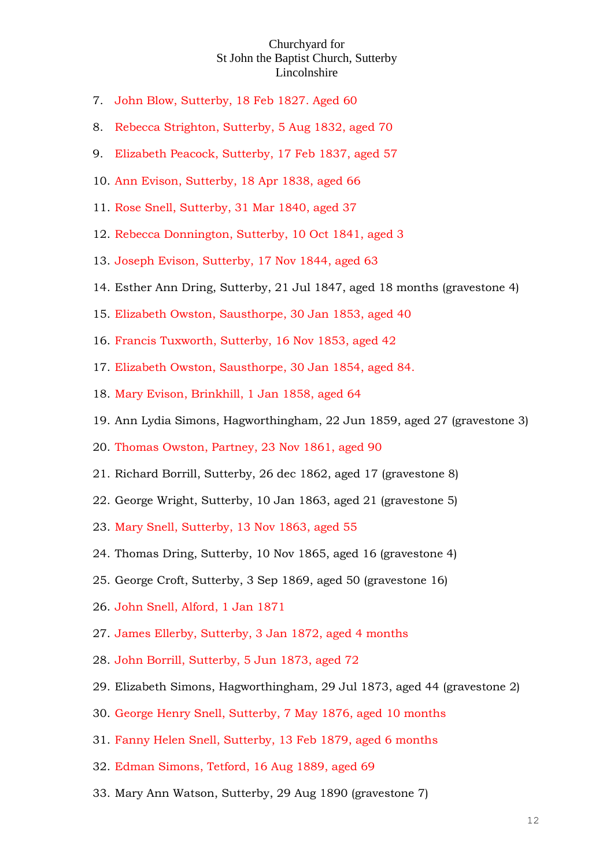- 7. John Blow, Sutterby, 18 Feb 1827. Aged 60
- 8. Rebecca Strighton, Sutterby, 5 Aug 1832, aged 70
- 9. Elizabeth Peacock, Sutterby, 17 Feb 1837, aged 57
- 10. Ann Evison, Sutterby, 18 Apr 1838, aged 66
- 11. Rose Snell, Sutterby, 31 Mar 1840, aged 37
- 12. Rebecca Donnington, Sutterby, 10 Oct 1841, aged 3
- 13. Joseph Evison, Sutterby, 17 Nov 1844, aged 63
- 14. Esther Ann Dring, Sutterby, 21 Jul 1847, aged 18 months (gravestone 4)
- 15. Elizabeth Owston, Sausthorpe, 30 Jan 1853, aged 40
- 16. Francis Tuxworth, Sutterby, 16 Nov 1853, aged 42
- 17. Elizabeth Owston, Sausthorpe, 30 Jan 1854, aged 84.
- 18. Mary Evison, Brinkhill, 1 Jan 1858, aged 64
- 19. Ann Lydia Simons, Hagworthingham, 22 Jun 1859, aged 27 (gravestone 3)
- 20. Thomas Owston, Partney, 23 Nov 1861, aged 90
- 21. Richard Borrill, Sutterby, 26 dec 1862, aged 17 (gravestone 8)
- 22. George Wright, Sutterby, 10 Jan 1863, aged 21 (gravestone 5)
- 23. Mary Snell, Sutterby, 13 Nov 1863, aged 55
- 24. Thomas Dring, Sutterby, 10 Nov 1865, aged 16 (gravestone 4)
- 25. George Croft, Sutterby, 3 Sep 1869, aged 50 (gravestone 16)
- 26. John Snell, Alford, 1 Jan 1871
- 27. James Ellerby, Sutterby, 3 Jan 1872, aged 4 months
- 28. John Borrill, Sutterby, 5 Jun 1873, aged 72
- 29. Elizabeth Simons, Hagworthingham, 29 Jul 1873, aged 44 (gravestone 2)
- 30. George Henry Snell, Sutterby, 7 May 1876, aged 10 months
- 31. Fanny Helen Snell, Sutterby, 13 Feb 1879, aged 6 months
- 32. Edman Simons, Tetford, 16 Aug 1889, aged 69
- 33. Mary Ann Watson, Sutterby, 29 Aug 1890 (gravestone 7)